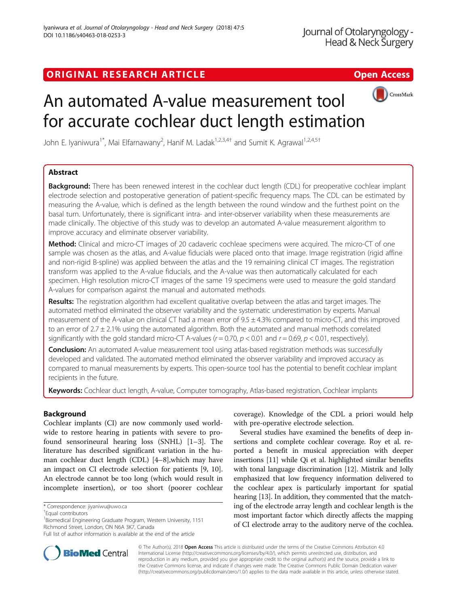## ORIGINAL RESEARCH ARTICLE **Solution Contract Contract Contract Contract Contract Contract Contract Contract Contract Contract Contract Contract Contract Contract Contract Contract Contract Contract Contract Contract Contra**



# An automated A-value measurement tool for accurate cochlear duct length estimation

John E. Iyaniwura<sup>1\*</sup>, Mai Elfarnawany<sup>2</sup>, Hanif M. Ladak<sup>1,2,3,4†</sup> and Sumit K. Agrawal<sup>1,2,4,5†</sup>

## Abstract

**Background:** There has been renewed interest in the cochlear duct length (CDL) for preoperative cochlear implant electrode selection and postoperative generation of patient-specific frequency maps. The CDL can be estimated by measuring the A-value, which is defined as the length between the round window and the furthest point on the basal turn. Unfortunately, there is significant intra- and inter-observer variability when these measurements are made clinically. The objective of this study was to develop an automated A-value measurement algorithm to improve accuracy and eliminate observer variability.

**Method:** Clinical and micro-CT images of 20 cadaveric cochleae specimens were acquired. The micro-CT of one sample was chosen as the atlas, and A-value fiducials were placed onto that image. Image registration (rigid affine and non-rigid B-spline) was applied between the atlas and the 19 remaining clinical CT images. The registration transform was applied to the A-value fiducials, and the A-value was then automatically calculated for each specimen. High resolution micro-CT images of the same 19 specimens were used to measure the gold standard A-values for comparison against the manual and automated methods.

Results: The registration algorithm had excellent qualitative overlap between the atlas and target images. The automated method eliminated the observer variability and the systematic underestimation by experts. Manual measurement of the A-value on clinical CT had a mean error of  $9.5 \pm 4.3\%$  compared to micro-CT, and this improved to an error of 2.7 ± 2.1% using the automated algorithm. Both the automated and manual methods correlated significantly with the gold standard micro-CT A-values ( $r = 0.70$ ,  $p < 0.01$  and  $r = 0.69$ ,  $p < 0.01$ , respectively).

**Conclusion:** An automated A-value measurement tool using atlas-based registration methods was successfully developed and validated. The automated method eliminated the observer variability and improved accuracy as compared to manual measurements by experts. This open-source tool has the potential to benefit cochlear implant recipients in the future.

Keywords: Cochlear duct length, A-value, Computer tomography, Atlas-based registration, Cochlear implants

## Background

Cochlear implants (CI) are now commonly used worldwide to restore hearing in patients with severe to profound sensorineural hearing loss (SNHL) [\[1](#page-6-0)–[3\]](#page-6-0). The literature has described significant variation in the human cochlear duct length (CDL) [[4](#page-6-0)–[8](#page-6-0)],which may have an impact on CI electrode selection for patients [[9, 10](#page-6-0)]. An electrode cannot be too long (which would result in incomplete insertion), or too short (poorer cochlear



Several studies have examined the benefits of deep insertions and complete cochlear coverage. Roy et al. reported a benefit in musical appreciation with deeper insertions [\[11](#page-6-0)] while Qi et al. highlighted similar benefits with tonal language discrimination [\[12\]](#page-6-0). Mistrik and Jolly emphasized that low frequency information delivered to the cochlear apex is particularly important for spatial hearing [\[13\]](#page-6-0). In addition, they commented that the matching of the electrode array length and cochlear length is the most important factor which directly affects the mapping of CI electrode array to the auditory nerve of the cochlea.



© The Author(s). 2018 Open Access This article is distributed under the terms of the Creative Commons Attribution 4.0 International License [\(http://creativecommons.org/licenses/by/4.0/](http://creativecommons.org/licenses/by/4.0/)), which permits unrestricted use, distribution, and reproduction in any medium, provided you give appropriate credit to the original author(s) and the source, provide a link to the Creative Commons license, and indicate if changes were made. The Creative Commons Public Domain Dedication waiver [\(http://creativecommons.org/publicdomain/zero/1.0/](http://creativecommons.org/publicdomain/zero/1.0/)) applies to the data made available in this article, unless otherwise stated.

<sup>\*</sup> Correspondence: [jiyaniwu@uwo.ca](mailto:jiyaniwu@uwo.ca) †

Equal contributors

<sup>&</sup>lt;sup>1</sup> Biomedical Engineering Graduate Program, Western University, 1151 Richmond Street, London, ON N6A 3K7, Canada

Full list of author information is available at the end of the article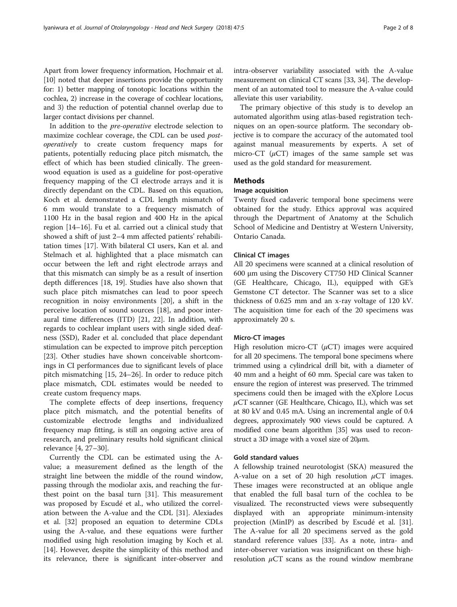In addition to the pre-operative electrode selection to maximize cochlear coverage, the CDL can be used postoperatively to create custom frequency maps for patients, potentially reducing place pitch mismatch, the effect of which has been studied clinically. The greenwood equation is used as a guideline for post-operative frequency mapping of the CI electrode arrays and it is directly dependant on the CDL. Based on this equation, Koch et al. demonstrated a CDL length mismatch of 6 mm would translate to a frequency mismatch of 1100 Hz in the basal region and 400 Hz in the apical region [\[14](#page-6-0)–[16\]](#page-6-0). Fu et al. carried out a clinical study that showed a shift of just 2–4 mm affected patients' rehabilitation times [[17\]](#page-6-0). With bilateral CI users, Kan et al. and Stelmach et al. highlighted that a place mismatch can occur between the left and right electrode arrays and that this mismatch can simply be as a result of insertion depth differences [[18](#page-6-0), [19](#page-7-0)]. Studies have also shown that such place pitch mismatches can lead to poor speech recognition in noisy environments [\[20\]](#page-7-0), a shift in the perceive location of sound sources [[18\]](#page-6-0), and poor interaural time differences (ITD) [\[21](#page-7-0), [22\]](#page-7-0). In addition, with regards to cochlear implant users with single sided deafness (SSD), Rader et al. concluded that place dependant stimulation can be expected to improve pitch perception [[23\]](#page-7-0). Other studies have shown conceivable shortcomings in CI performances due to significant levels of place pitch mismatching [\[15,](#page-6-0) [24](#page-7-0)–[26\]](#page-7-0). In order to reduce pitch place mismatch, CDL estimates would be needed to create custom frequency maps.

The complete effects of deep insertions, frequency place pitch mismatch, and the potential benefits of customizable electrode lengths and individualized frequency map fitting, is still an ongoing active area of research, and preliminary results hold significant clinical relevance [\[4,](#page-6-0) [27](#page-7-0)–[30\]](#page-7-0).

Currently the CDL can be estimated using the Avalue; a measurement defined as the length of the straight line between the middle of the round window, passing through the modiolar axis, and reaching the furthest point on the basal turn [\[31\]](#page-7-0). This measurement was proposed by Escudé et al., who utilized the correlation between the A-value and the CDL [[31](#page-7-0)]. Alexiades et al. [[32\]](#page-7-0) proposed an equation to determine CDLs using the A-value, and these equations were further modified using high resolution imaging by Koch et al. [[14\]](#page-6-0). However, despite the simplicity of this method and its relevance, there is significant inter-observer and intra-observer variability associated with the A-value measurement on clinical CT scans [[33](#page-7-0), [34](#page-7-0)]. The development of an automated tool to measure the A-value could alleviate this user variability.

The primary objective of this study is to develop an automated algorithm using atlas-based registration techniques on an open-source platform. The secondary objective is to compare the accuracy of the automated tool against manual measurements by experts. A set of micro-CT  $(\mu$ CT) images of the same sample set was used as the gold standard for measurement.

## **Methods**

## Image acquisition

Twenty fixed cadaveric temporal bone specimens were obtained for the study. Ethics approval was acquired through the Department of Anatomy at the Schulich School of Medicine and Dentistry at Western University, Ontario Canada.

## Clinical CT images

All 20 specimens were scanned at a clinical resolution of 600 μm using the Discovery CT750 HD Clinical Scanner (GE Healthcare, Chicago, IL), equipped with GE's Gemstone CT detector. The Scanner was set to a slice thickness of 0.625 mm and an x-ray voltage of 120 kV. The acquisition time for each of the 20 specimens was approximately 20 s.

## Micro-CT images

High resolution micro-CT  $(\mu$ CT) images were acquired for all 20 specimens. The temporal bone specimens where trimmed using a cylindrical drill bit, with a diameter of 40 mm and a height of 60 mm. Special care was taken to ensure the region of interest was preserved. The trimmed specimens could then be imaged with the eXplore Locus  $\mu$ CT scanner (GE Healthcare, Chicago, IL), which was set at 80 kV and 0.45 mA. Using an incremental angle of 0.4 degrees, approximately 900 views could be captured. A modified cone beam algorithm [[35](#page-7-0)] was used to reconstruct a 3D image with a voxel size of  $20 \mu m$ .

## Gold standard values

A fellowship trained neurotologist (SKA) measured the A-value on a set of 20 high resolution  $\mu$ CT images. These images were reconstructed at an oblique angle that enabled the full basal turn of the cochlea to be visualized. The reconstructed views were subsequently displayed with an appropriate minimum-intensity projection (MinIP) as described by Escudé et al. [\[31](#page-7-0)]. The A-value for all 20 specimens served as the gold standard reference values [\[33](#page-7-0)]. As a note, intra- and inter-observer variation was insignificant on these highresolution  $\mu$ CT scans as the round window membrane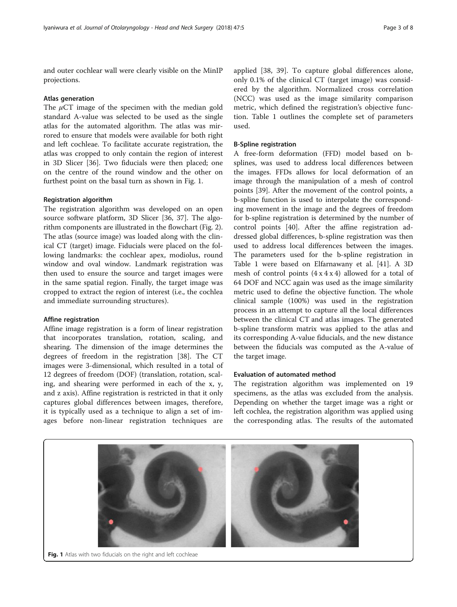and outer cochlear wall were clearly visible on the MinIP projections.

#### Atlas generation

The  $\mu$ CT image of the specimen with the median gold standard A-value was selected to be used as the single atlas for the automated algorithm. The atlas was mirrored to ensure that models were available for both right and left cochleae. To facilitate accurate registration, the atlas was cropped to only contain the region of interest in 3D Slicer [[36\]](#page-7-0). Two fiducials were then placed; one on the centre of the round window and the other on furthest point on the basal turn as shown in Fig. 1.

#### Registration algorithm

The registration algorithm was developed on an open source software platform, 3D Slicer [\[36, 37](#page-7-0)]. The algorithm components are illustrated in the flowchart (Fig. [2](#page-3-0)). The atlas (source image) was loaded along with the clinical CT (target) image. Fiducials were placed on the following landmarks: the cochlear apex, modiolus, round window and oval window. Landmark registration was then used to ensure the source and target images were in the same spatial region. Finally, the target image was cropped to extract the region of interest (i.e., the cochlea and immediate surrounding structures).

#### Affine registration

Affine image registration is a form of linear registration that incorporates translation, rotation, scaling, and shearing. The dimension of the image determines the degrees of freedom in the registration [\[38](#page-7-0)]. The CT images were 3-dimensional, which resulted in a total of 12 degrees of freedom (DOF) (translation, rotation, scaling, and shearing were performed in each of the x, y, and z axis). Affine registration is restricted in that it only captures global differences between images, therefore, it is typically used as a technique to align a set of images before non-linear registration techniques are

applied [\[38](#page-7-0), [39](#page-7-0)]. To capture global differences alone, only 0.1% of the clinical CT (target image) was considered by the algorithm. Normalized cross correlation (NCC) was used as the image similarity comparison metric, which defined the registration's objective function. Table [1](#page-3-0) outlines the complete set of parameters used.

#### B-Spline registration

A free-form deformation (FFD) model based on bsplines, was used to address local differences between the images. FFDs allows for local deformation of an image through the manipulation of a mesh of control points [[39](#page-7-0)]. After the movement of the control points, a b-spline function is used to interpolate the corresponding movement in the image and the degrees of freedom for b-spline registration is determined by the number of control points [\[40](#page-7-0)]. After the affine registration addressed global differences, b-spline registration was then used to address local differences between the images. The parameters used for the b-spline registration in Table [1](#page-3-0) were based on Elfarnawany et al. [\[41](#page-7-0)]. A 3D mesh of control points  $(4 \times 4 \times 4)$  allowed for a total of 64 DOF and NCC again was used as the image similarity metric used to define the objective function. The whole clinical sample (100%) was used in the registration process in an attempt to capture all the local differences between the clinical CT and atlas images. The generated b-spline transform matrix was applied to the atlas and its corresponding A-value fiducials, and the new distance between the fiducials was computed as the A-value of the target image.

## Evaluation of automated method

The registration algorithm was implemented on 19 specimens, as the atlas was excluded from the analysis. Depending on whether the target image was a right or left cochlea, the registration algorithm was applied using the corresponding atlas. The results of the automated

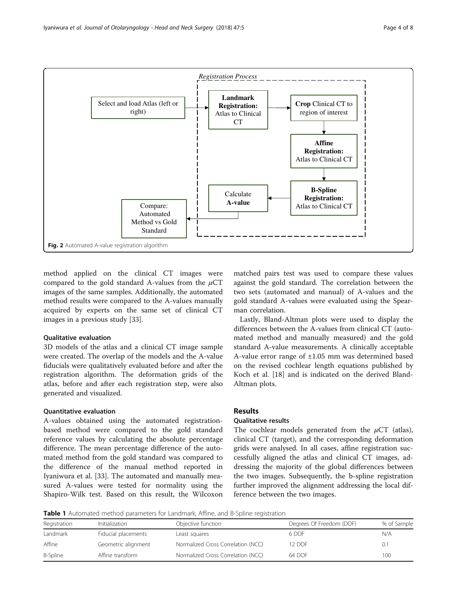<span id="page-3-0"></span>

method applied on the clinical CT images were compared to the gold standard A-values from the  $\mu$ CT images of the same samples. Additionally, the automated method results were compared to the A-values manually acquired by experts on the same set of clinical CT images in a previous study [\[33](#page-7-0)].

#### Qualitative evaluation

3D models of the atlas and a clinical CT image sample were created. The overlap of the models and the A-value fiducials were qualitatively evaluated before and after the registration algorithm. The deformation grids of the atlas, before and after each registration step, were also generated and visualized.

## Quantitative evaluation

A-values obtained using the automated registrationbased method were compared to the gold standard reference values by calculating the absolute percentage difference. The mean percentage difference of the automated method from the gold standard was compared to the difference of the manual method reported in Iyaniwura et al. [[33\]](#page-7-0). The automated and manually measured A-values were tested for normality using the Shapiro-Wilk test. Based on this result, the Wilcoxon

matched pairs test was used to compare these values against the gold standard. The correlation between the two sets (automated and manual) of A-values and the gold standard A-values were evaluated using the Spearman correlation.

Lastly, Bland-Altman plots were used to display the differences between the A-values from clinical CT (automated method and manually measured) and the gold standard A-value measurements. A clinically acceptable A-value error range of  $\pm 1.05$  mm was determined based on the revised cochlear length equations published by Koch et al. [\[18\]](#page-6-0) and is indicated on the derived Bland-Altman plots.

## Results

### Qualitative results

The cochlear models generated from the  $\mu$ CT (atlas), clinical CT (target), and the corresponding deformation grids were analysed. In all cases, affine registration successfully aligned the atlas and clinical CT images, addressing the majority of the global differences between the two images. Subsequently, the b-spline registration further improved the alignment addressing the local difference between the two images.

Table 1 Automated method parameters for Landmark, Affine, and B-Spline registration

| Registration | Initialization      | Objective function                 | Degrees Of Freedom (DOF) | % of Sample |
|--------------|---------------------|------------------------------------|--------------------------|-------------|
| Landmark     | Fiducial placements | Least squares                      | 6 DOE                    | N/A         |
| Affine       | Geometric alignment | Normalized Cross Correlation (NCC) | 12 DOF                   | J.I         |
| B-Spline     | Affine transform    | Normalized Cross Correlation (NCC) | 64 DOF                   | 100         |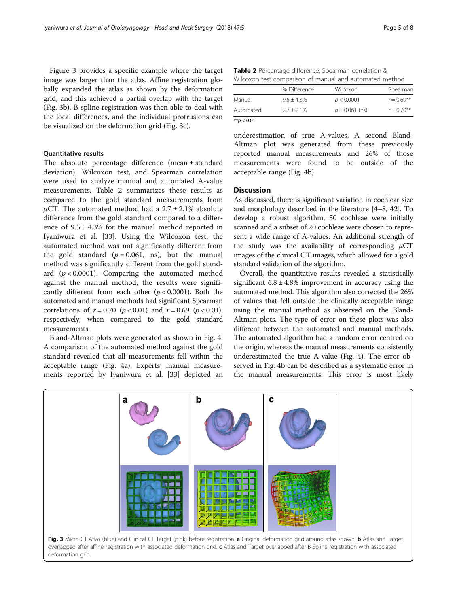Figure 3 provides a specific example where the target image was larger than the atlas. Affine registration globally expanded the atlas as shown by the deformation grid, and this achieved a partial overlap with the target (Fig. 3b). B-spline registration was then able to deal with the local differences, and the individual protrusions can be visualized on the deformation grid (Fig. 3c).

## Quantitative results

The absolute percentage difference (mean ± standard deviation), Wilcoxon test, and Spearman correlation were used to analyze manual and automated A-value measurements. Table 2 summarizes these results as compared to the gold standard measurements from  $\mu$ CT. The automated method had a 2.7 ± 2.1% absolute difference from the gold standard compared to a difference of  $9.5 \pm 4.3\%$  for the manual method reported in Iyaniwura et al. [[33](#page-7-0)]. Using the Wilcoxon test, the automated method was not significantly different from the gold standard  $(p = 0.061, \text{ns})$ , but the manual method was significantly different from the gold standard  $(p < 0.0001)$ . Comparing the automated method against the manual method, the results were significantly different from each other  $(p < 0.0001)$ . Both the automated and manual methods had significant Spearman correlations of  $r = 0.70$  ( $p < 0.01$ ) and  $r = 0.69$  ( $p < 0.01$ ), respectively, when compared to the gold standard measurements.

Bland-Altman plots were generated as shown in Fig. [4](#page-5-0). A comparison of the automated method against the gold standard revealed that all measurements fell within the acceptable range (Fig. [4a\)](#page-5-0). Experts' manual measurements reported by Iyaniwura et al. [\[33](#page-7-0)] depicted an

Table 2 Percentage difference, Spearman correlation & Wilcoxon test comparison of manual and automated method

|           | % Difference  | Wilcoxon         | Spearman      |
|-----------|---------------|------------------|---------------|
| Manual    | $9.5 + 4.3\%$ | p < 0.0001       | $r = 0.69***$ |
| Automated | $2.7 + 2.1\%$ | $p = 0.061$ (ns) | $r = 0.70***$ |
|           |               |                  |               |

 $\frac{1}{2}$  × +\*p < 0.01

underestimation of true A-values. A second Bland-Altman plot was generated from these previously reported manual measurements and 26% of those measurements were found to be outside of the acceptable range (Fig. [4b](#page-5-0)).

## **Discussion**

As discussed, there is significant variation in cochlear size and morphology described in the literature [[4](#page-6-0)–[8](#page-6-0), [42](#page-7-0)]. To develop a robust algorithm, 50 cochleae were initially scanned and a subset of 20 cochleae were chosen to represent a wide range of A-values. An additional strength of the study was the availability of corresponding  $\mu$ CT images of the clinical CT images, which allowed for a gold standard validation of the algorithm.

Overall, the quantitative results revealed a statistically significant  $6.8 \pm 4.8\%$  improvement in accuracy using the automated method. This algorithm also corrected the 26% of values that fell outside the clinically acceptable range using the manual method as observed on the Bland-Altman plots. The type of error on these plots was also different between the automated and manual methods. The automated algorithm had a random error centred on the origin, whereas the manual measurements consistently underestimated the true A-value (Fig. [4\)](#page-5-0). The error observed in Fig. [4b](#page-5-0) can be described as a systematic error in the manual measurements. This error is most likely

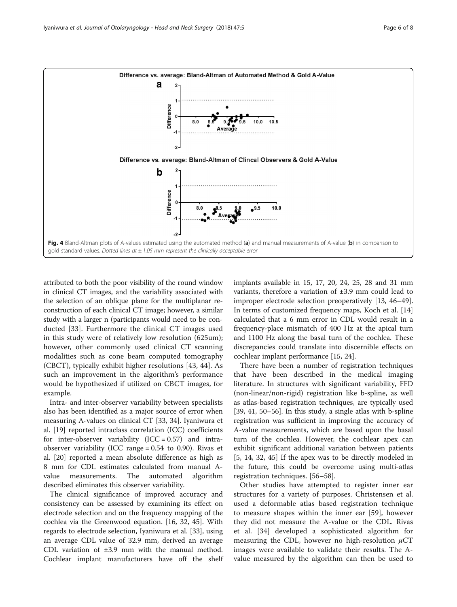<span id="page-5-0"></span>

attributed to both the poor visibility of the round window in clinical CT images, and the variability associated with the selection of an oblique plane for the multiplanar reconstruction of each clinical CT image; however, a similar study with a larger n (participants would need to be conducted [\[33](#page-7-0)]. Furthermore the clinical CT images used in this study were of relatively low resolution (625um); however, other commonly used clinical CT scanning modalities such as cone beam computed tomography (CBCT), typically exhibit higher resolutions [[43, 44](#page-7-0)]. As such an improvement in the algorithm's performance would be hypothesized if utilized on CBCT images, for example.

Intra- and inter-observer variability between specialists also has been identified as a major source of error when measuring A-values on clinical CT [\[33](#page-7-0), [34](#page-7-0)]. Iyaniwura et al. [[19](#page-7-0)] reported intraclass correlation (ICC) coefficients for inter-observer variability  $(ICC = 0.57)$  and intraobserver variability (ICC range = 0.54 to 0.90). Rivas et al. [\[20](#page-7-0)] reported a mean absolute difference as high as 8 mm for CDL estimates calculated from manual Avalue measurements. The automated algorithm described eliminates this observer variability.

The clinical significance of improved accuracy and consistency can be assessed by examining its effect on electrode selection and on the frequency mapping of the cochlea via the Greenwood equation. [[16,](#page-6-0) [32, 45](#page-7-0)]. With regards to electrode selection, Iyaniwura et al. [[33\]](#page-7-0), using an average CDL value of 32.9 mm, derived an average CDL variation of ±3.9 mm with the manual method. Cochlear implant manufacturers have off the shelf implants available in 15, 17, 20, 24, 25, 28 and 31 mm variants, therefore a variation of ±3.9 mm could lead to improper electrode selection preoperatively [[13,](#page-6-0) [46](#page-7-0)–[49](#page-7-0)]. In terms of customized frequency maps, Koch et al. [[14](#page-6-0)] calculated that a 6 mm error in CDL would result in a frequency-place mismatch of 400 Hz at the apical turn and 1100 Hz along the basal turn of the cochlea. These discrepancies could translate into discernible effects on cochlear implant performance [\[15](#page-6-0), [24\]](#page-7-0).

There have been a number of registration techniques that have been described in the medical imaging literature. In structures with significant variability, FFD (non-linear/non-rigid) registration like b-spline, as well as atlas-based registration techniques, are typically used [[39, 41, 50](#page-7-0)–[56\]](#page-7-0). In this study, a single atlas with b-spline registration was sufficient in improving the accuracy of A-value measurements, which are based upon the basal turn of the cochlea. However, the cochlear apex can exhibit significant additional variation between patients [[5, 14](#page-6-0), [32, 45](#page-7-0)] If the apex was to be directly modeled in the future, this could be overcome using multi-atlas registration techniques. [[56](#page-7-0)–[58](#page-7-0)].

Other studies have attempted to register inner ear structures for a variety of purposes. Christensen et al. used a deformable atlas based registration technique to measure shapes within the inner ear [[59\]](#page-7-0), however they did not measure the A-value or the CDL. Rivas et al. [[34\]](#page-7-0) developed a sophisticated algorithm for measuring the CDL, however no high-resolution  $\mu$ CT images were available to validate their results. The Avalue measured by the algorithm can then be used to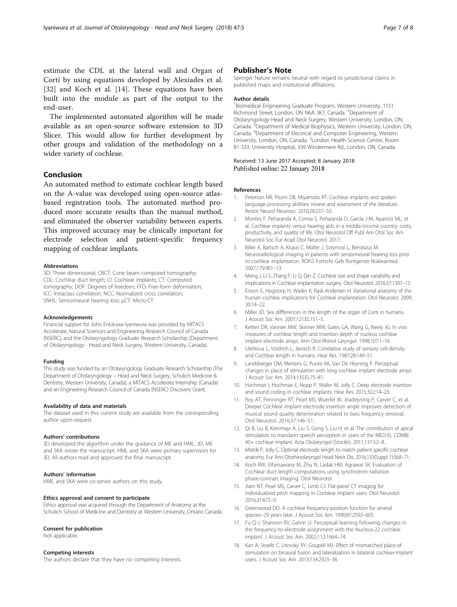<span id="page-6-0"></span>estimate the CDL at the lateral wall and Organ of Corti by using equations developed by Alexiades et al. [[32\]](#page-7-0) and Koch et al. [14]. These equations have been built into the module as part of the output to the end-user.

The implemented automated algorithm will be made available as an open-source software extension to 3D Slicer. This would allow for further development by other groups and validation of the methodology on a wider variety of cochleae.

## Conclusion

An automated method to estimate cochlear length based on the A-value was developed using open-source atlasbased registration tools. The automated method produced more accurate results than the manual method, and eliminated the observer variability between experts. This improved accuracy may be clinically important for electrode selection and patient-specific frequency mapping of cochlear implants.

#### Abbreviations

3D: Three dimensional; CBCT: Cone beam computed tomography; CDL: Cochlear duct length; CI: Cochlear implants; CT: Computed tomography; DOF: Degrees of freedom; FFD: Free-form deformation; ICC: Intraclass correlation; NCC: Normalized cross correlation; SNHL: Sensorineural hearing loss; μCT: Micro-CT

#### Acknowledgements

Financial support for John Enioluwa Iyaniwura was provided by MITACS Accelerate, Natural Sciences and Engineering Research Council of Canada (NSERC), and the Otolaryngology Graduate Research Scholarship (Department of Otolaryngology - Head and Neck Surgery, Western University, Canada).

#### Funding

This study was funded by an Otolaryngology Graduate Research Scholarship (The Department of Otolaryngology – Head and Neck Surgery, Schulich Medicine & Dentistry, Western University, Canada), a MITACS Accelerate Internship (Canada) and an Engineering Research Council of Canada (NSERC) Discovery Grant.

#### Availability of data and materials

The dataset used in this current study are available from the corresponding author upon request.

#### Authors' contributions

JEI developed the algorithm under the guidance of ME and HML. JEI, ME and SKA wrote the manuscript. HML and SKA were primary supervisors for JEI. All authors read and approved the final manuscript.

#### Authors' information

HML and SKA were co-senior authors on this study.

#### Ethics approval and consent to participate

Ethics approval was acquired through the Department of Anatomy at the Schulich School of Medicine and Dentistry at Western University, Ontario Canada.

#### Consent for publication

Not applicable.

## Competing interests

The authors declare that they have no competing interests.

## Publisher's Note

Springer Nature remains neutral with regard to jurisdictional claims in published maps and institutional affiliations.

#### Author details

1 Biomedical Engineering Graduate Program, Western University, 1151 Richmond Street, London, ON N6A 3K7, Canada. <sup>2</sup>Department of Otolaryngology-Head and Neck Surgery, Western University, London, ON, Canada. <sup>3</sup>Department of Medical Biophysics, Western University, London, ON, Canada. <sup>4</sup> Department of Electrical and Computer Engineering, Western University, London, ON, Canada. <sup>5</sup>London Health Science Centre, Room B1-333, University Hospital, 339 Windermere Rd., London, ON, Canada.

#### Received: 13 June 2017 Accepted: 8 January 2018 Published online: 22 January 2018

#### References

- 1. Peterson NR, Pisoni DB, Miyamoto RT. Cochlear implants and spoken language processing abilities: review and assessment of the literature. Restor Neurol Neurosci. 2010;28:237–50.
- 2. Montes F, Peñaranda A, Correa S, Peñaranda D, García J-M, Aparicio ML, et al. Cochlear implants versus hearing aids in a middle-income country: costs, productivity, and quality of life. Otol Neurotol Off Publ Am Otol Soc Am Neurotol Soc Eur Acad Otol Neurotol. 2017;
- 3. Biller A, Bartsch A, Knaus C, Müller J, Solymosi L, Bendszus M. Neuroradiological imaging in patients with sensorineural hearing loss prior to cochlear implantation. ROFO Fortschr Geb Rontgenstr Nuklearmed. 2007;179:901–13.
- 4. Meng J, Li S, Zhang F, Li Q, Qin Z. Cochlear size and shape variability and implications in Cochlear implantation surgery. Otol Neurotol. 2016;37:1307–13.
- 5. Erixon E, Hogstorp H, Wadin K, Rask-Andersen H. Variational anatomy of the human cochlea: implications for Cochlear implantation. Otol Neurotol. 2009; 30:14–22.
- 6. Miller JD. Sex diffferences in the length of the organ of Corti in humans. J Acoust Soc Am. 2007;121:EL151–5.
- 7. Ketten DR, Vannier MW, Skinner MW, Gates GA, Wang G, Neely JG. In vivo measures of cochlear length and insertion depth of nucleus cochlear implant electrode arrays. Ann Otol Rhinol Laryngol. 1998;107:1–16.
- 8. Ulehlova L, Voldrich L, Janisch R. Correlative study of sensory cell-density and Cochlear length in humans. Hear Res. 1987;28:149–51.
- 9. Landsberger DM, Mertens G, Punte AK, Van De Heyning P. Perceptual changes in place of stimulation with long cochlear implant electrode arrays. J Acoust Soc Am. 2014;135:EL75–81.
- 10. Hochmair I, Hochmair E, Nopp P, Waller M, Jolly C. Deep electrode insertion and sound coding in cochlear implants. Hear Res. 2015;322:14–23.
- 11. Roy AT, Penninger RT, Pearl MS, Wuerfel W, Jiradejvong P, Carver C, et al. Deeper Cochlear implant electrode insertion angle improves detection of musical sound quality deterioration related to bass frequency removal. Otol Neurotol. 2016;37:146–51.
- 12. Qi B, Liu B, Krenmayr A, Liu S, Gong S, Liu H, et al. The contribution of apical stimulation to mandarin speech perception in users of the MED-EL COMBI 40+ cochlear implant. Acta Otolaryngol (Stockh). 2011;131:52–8.
- 13. Mistrík P, Jolly C. Optimal electrode length to match patient specific cochlear anatomy. Eur Ann Otorhinolaryngol Head Neck Dis. 2016;133(Suppl 1):S68–71.
- 14. Koch RW, Elfarnawany M, Zhu N, Ladak HM, Agrawal SK. Evaluation of Cochlear duct length computations using synchrotron radiation phase-contrast imaging. Otol Neurotol.
- 15. Jiam NT, Pearl MS, Carver C, Limb CJ. Flat-panel CT imaging for individualized pitch mapping in Cochlear implant users. Otol Neurotol. 2016;37:672–9.
- 16. Greenwood DD. A cochlear frequency-position function for several species–29 years later. J Acoust Soc Am. 1990;87:2592–605.
- 17. Fu Q-J, Shannon RV, Galvin JJ. Perceptual learning following changes in the frequency-to-electrode assignment with the Nucleus-22 cochlear implant. J Acoust Soc Am. 2002;112:1664–74.
- 18. Kan A, Stoelb C, Litovsky RY, Goupell MJ. Effect of mismatched place-ofstimulation on binaural fusion and lateralization in bilateral cochlear-implant users. J Acoust Soc Am. 2013;134:2923–36.